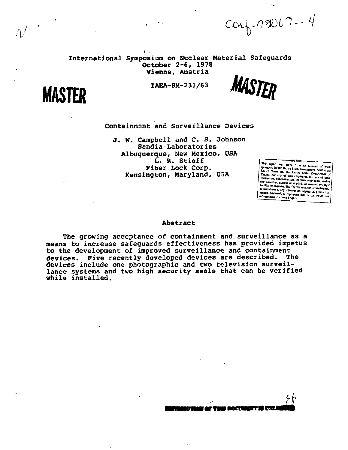$corf-18067 - 4$ 

International Symposium on Nuclear Material Safeguards **October** 2-6, **1978 Vienna,** Austria





## Containment and Surveillance Devices

J. W. Campbell and C. S. Johnson Sendia Laborator ies Albuquerque, New Mexico, USA L. R. Stieff Fiber Lock Corp. Kensington, Maryland, USA

This report was prepared as an account ed by the United States Go stated by the United States Government. N<br>Alted States nor the United States Depart Energy, nor any of their employees, d. ori net privately owned a

#### Abstract

The growing acceptance of containment and surveillance as a means to increase safeguards effectiveness has provided impetus to the development of improved surveillance and containment devices. Five recently developed devices are described. The devices include one photographic and two television surveillance systems and two high security seals that can be verified while installed.

**•**<br>Thu Documbit is unimode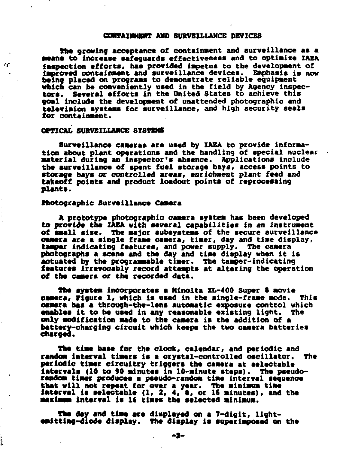# **CONTAINMENT AND SURVEILLANCE DEVICES**

**The growing acceptance of containment and surveillance as a •cans to increase safeguards effectiveness and to optimize IAEA inspection efforts, has provided impetus to the development of improved containment and surveillance devices. Emphasis is now being placed on programs to demonstrate reliable equipment which can be conveniently used in the field by Agency inspec-tors. Several efforts in the United States to achieve this goal include the development of unattended photographic and television systems for surveillance, and high security seals for containment.** 

## **OPTICAL SURVEILLANCE SYSTEMS**

G.

i

**Surveillance cameras are used by IAEA to provide information about plant operations and the handling of special nuclear material during an inspector's absence. Applications include the surveillance of spent fuel storage bays, access points to storage bays or controlled areas, enrichment plant feed and takeoff points and product loadout points of reprocessing plants.** 

## **Photographic Surveillance Camera**

**A prototype photographic camera system has been developed to provide the IAEA with several capabilities in an instrument of small sise. The major subsystems of the secure surveillance camera are a single frame camera, timer, day and time display, tamper indicating features, and power supply. The camera photographs a scene and the day and time display when it is actuated by the programmable timer. The tamper-indicating features irrevocably record attempts at altering the operation of the camera or the recorded data.** 

**The system incorporates a Minolta XL-400 Super 8 movie**  camera, **Figure 1, which is used in the single-frame mode. camera has a throogh-the-lens automatic exposure control which enables it to be used in any reasonable existing light. The only modification made to the camera is the addition of a battery-charging circuit which keeps the two camera batteries charged.** 

**The time base for the clock, calendar, and periodic and random Interval timers is a crystal-controlled oscillator. The periodic tiawr circuitry triggers the camera at selectable intervals (10 to 90 minutes in 10-minute steps). The pseudorandom timer produces a pseudo-random time Interval sequence that will not repeat for over a year. The minimum time interval is selectable (1,** *2, 4,* **S, or It minutes), and the maximem interval is If times the selected minimum.** 

**The day and time are displayed on a 7-digit, lightest tting-diode display. The display is superimposed on the**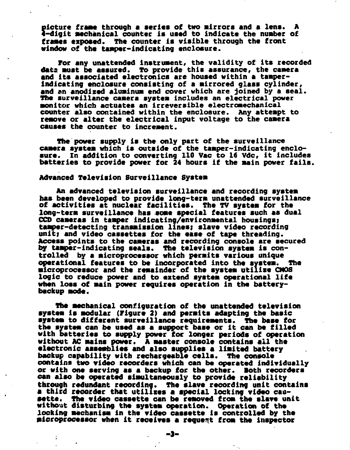picture frame through a series of two mirrors and a lens. A  $\frac{1}{2}$ -digit mechanical counter is used to indicate the number of **frases exposed. The counter is visible through the front window of the tamper-indicating enclosure.** 

**For any unattended instrument, the validity of its recorded data must be assured. To provide this assurance, the camera and its associated electronics are housed within a tamperindicating enclosure consisting of a mirrored glass cylinder, and an anodized aluminum end cover which are joined by a seal. The surveillance camera system includes an electrical power monitor which actuates an irreversible electromechanical counter also contained within the enclosure. Any attempt to remove or alter the electrical input voltage to the camera causes the counter to increment.** 

**The power supply is the only part of the surveillance camera system which is outside of the tamper-indicating enclosure. In addition to converting 110 Vac to 16 Vdc, it includes batteries to provide power for 24 hours if the main power fails.** 

# **Advanced Television Surveillance System**

**An advanced television surveillance and recording system has been developed to provide long-term unattended surveillance of activities at nuclear facilities. The TV system for the long-term surveillance has some special features such as dual OCO cameras in tamper indicating/environmental housings; tamper-detecting transmission lines; slave video recording unit; and video cassettes for the ease of tape threading. Access points to the cameras and recording console are secured by tamper-indicating seals. The television system is con-trolled by a microprocessor which permits various unique operational features to be incorporated into the system. The microprocessor and the remainder of the system utilise CMOS logic to reduce power and to extend system operational life when loss of main power requires operation in the batterybackup mode.** 

**The mechanical configuration of the unattended television system is modular (Figure 2) and permits adapting the basic system to different surveillance requirements. The base for the system can be used as a support base or it can be filled with batteries to supply power for longer periods of operation without AC mains power. A master console contains all the electronic assemblies and also supplies a limited battery backup capability with rechargeable cells. The console contains two video recorders which can be operated individually or with one serving as a backup for the other. Both recorders can also be operated simultaneously to provide reliability through redundant recording. The slave recording unit contains a third recorder that utilises a special locking video cassette. The video cassette can be removed from the slave unit without disturbing the system operation. Operation of the locking mechanism in the video cassette is controlled by the microprocessor when it receives a request from the inspector** 

**-3-**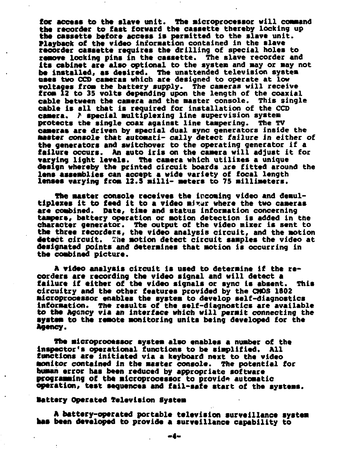for access to the slave unit. The microprocessor will command the recorder to fast forward the cassette thereby locking up **the cassette before access is permitted to the slave unit. Playback of the video information contained in the slave recorder cassette requires the drilling of special holes to remove locking pins in the cassette. The slave recorder and Its cabinet are also optional to the system and may or may not be installed, as desired. The unattended television system uses two CCD cameras which are designed to operate at low voltages from the battery supply. The cameras will receive from 12 to 35 volts depending upon the length of the coaxial cable between the camera and the master console. This single cable is all that is required for installation of the CCD camera,** *f* **special multiplexing line supervision system**  protects the single coax against line tampering. **cameras are driven by special dual sync generators inside the master console that automati- cally detect failure in either of the generators and switchover to the operating generator if a failure occurs. An auto iris on the camera will adjust it for varying light levels. The camera which utilises a unique design whereby the printed circuit boards are fitted around the lens assemblies can accept a wide variety of focal length lenses varying from 12.5 milli- meters to 75 millimeters.** 

**The master console receives the incoming video and demul**tiplexes it to feed it to a video mixer where the two cameras **are combined. Bate, time and status information concerning tampers, battery operation or motion detection is added in the character generator. The output of the video mixer is sent to the three recorders, the video analysis circuit, and the motion detect circuit. The motion detect circuit samples the video at designated points and determines that motion is occurring in the combined picture.** 

**A video analysis circuit is used to determine if the re**corders are recording the video signal and will detect a **failure if either of the video signals or sync is absent. This circuitry and the other features provided by the CMOS 1802 microprocessor enables the system to develop self-diagnostics information. The results of the self-diagnostics are available to the Agency via an interface which will permit connecting the system to the remote monitoring units being developed for the Agency.** 

**The microprocessor system also enables a number of the inspector's operational functions to be simplified. All functions are initiated via a keyboard next to the video monitor contained in the master console. The potential for human error has been reduced by appropriate software**  programming of the microprocessor to provide automatic **operation, test sequences and fail-safe start of the aystems.** 

#### **Battery Operated Television System**

**A battery-operated portable television surveillance system has been developed to provide a surveillance capability to**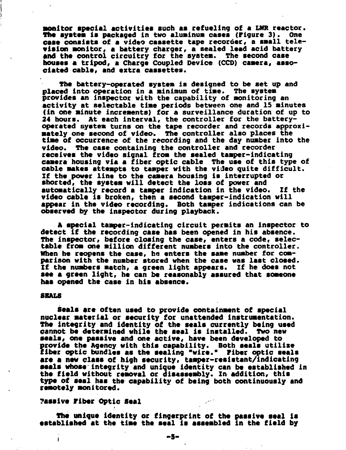**Monitor special activities such as refueling of a LNR reactor. The system is packaged in two aluminum cases (Figure 3). One case consists of a video cassette tape recorder, a small television monitor, a battery charger, a sealed lead acid battery and the control circuitry for the system. The second case houses a tripod, a Charge Coupled Device (CCD) camera, associated cable, and extra cassettes.** 

**The battery-operated system is designed to be set up and placed into operation in a minimum of time. The system provides an inspector with the capability of monitoring an activity at selectable time periods between one and IS minutes (in one minute increments) for a surveillance duration of up to 24 hours. At each interval, the controller for the batteryoperated system turns on the tape recorder and records approximately one second of video-. The controller also places the time of occurrence of the recording and the day number into the video. The case containing the controller and recorder receives the video signal from the sealed tamper-indicating camera housing via a fiber optic cable The use of this type of cable makes attempts to tamper with the vi-Jeo quite difficult. If the power line to the camera housing is interrupted or snorted, the system will detect the loss of power and automatically record a tamper indication in the video. If the video cable is broken, then a second tamper-indication will appear in the video recording. Both tamper indications can be observed by the inspector during playback.** 

**A special tamper-indicating circuit permits an Inspector to detect if the recording case has been opened in his absence. The inspector, before closing the case, enters a code, selectable from one million different numbers into the controller. When be reopens the case, ha enters the same number for comparison with the number stored when the case was last closed. If the numbers match, a green light appears. If he does not see a green light, he can be reasonably assured that someone has opened the case in his absence.** 

#### **SEALS**

**Seals are often used to provide containment of special nuclear material or security for unattended Instrumentation. The integrity and identity of the seals currently being used cannot be determined while the seal is installed. Two new seals, one passive and one active, have been developed to ? iber optic bundles as the sealing "wire." Fiber optic seals rovide the Agency with this capability. Both seals utilise are a new class of high security, tamper-resistant/indicating seals whose integrity and unique identity can be established in the field without removal or disassembly. In addition, this type of seal has the capability of being both continuously and remotely monitored.** 

# **?assive Fiber Optic Seal**

**The unique identity or fingerprint of the passive seal la established at the time the seal is assembled in the field by**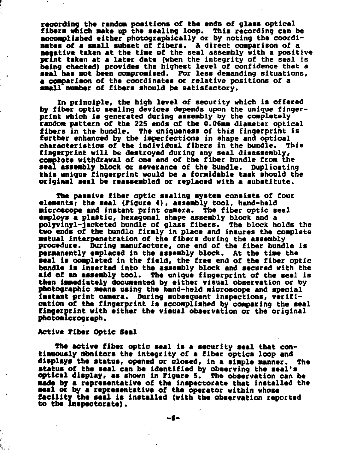recording the random positions of the ends of glass optical **fibers which make up the sealing loop. This recording can be accomplished either photographically or by noting the coordinates of a small subset of fibers. A direct comparison of a negative taken at the time of the seal assembly with a positive print taken at a later date (when the integrity of the seal is being checked) provides the highest level of confidence that a seal has not been compromised. For less demanding situations, a comparison of the coordinates or relative positions of a small number of fibers should be satisfactory.** 

**In principle, the high level of security which is offered by fiber optic sealing devices depends upon the unique fingerprint which is generated during assembly by the completely random pattern of the 225 ends of the 0.06mm diameter optical fibers in the bundle. The uniqueness of this fingerprint is further enhanced by the imperfections in shape and optical characteristics of the individual fibers in the bundle. This fingerprint will be destroyed during any seal disassembly, complete withdrawal of one end of the fiber bundle from the seal assembly block or severance of the bundle. Duplicating this unique fingerprint would be a formidable task should the original seal be reassembled or replaced with a substitute.** 

**The passive fiber optic sealing system consists of four elements) the seal (Figure 4), assembly tool, hand-held •icroscope and instant print camera. The fiber optic seal employs a plastic, hexagonal shape, assembly block and a polyvinyl-jacketed bundle of glass fibers. The block holds the two ends of the bundle firmly in place and insures the complete mutual interpenetration of the fibers during the assembly procedure. During manufacture, one end of the fiber bundle is permanently emplaced in the assembly block. At the time the seal is completed in the field, the free end of the fiber optic bundle is inserted into the assembly block and secured with the aid of an assembly tool. The unique fingerprint of the seal is then immediately documented by either visual observation or by photographic means using the hand-held microscope and special instant print camera. During subsequent inspections, verification of the fingerprint is accomplished by comparing the seal fingerprint with either the visual observation or the original photomicrograph.** 

#### **Active Fiber Optic Seal**

**The active fiber optic seal is a security seal that continuously monitors the Integrity of a fiber optics loop and displays the status, opened or closed, in a simple manner. The status of the seal can be identified by observing the seal's optical display, as shown in Figure 5. The observation can be made by a representative of the inspectorate that installed the seal or by a representative of the operator within whose facility the seal is Installed (with the observation reported to the inspectorate).** 

**-«-**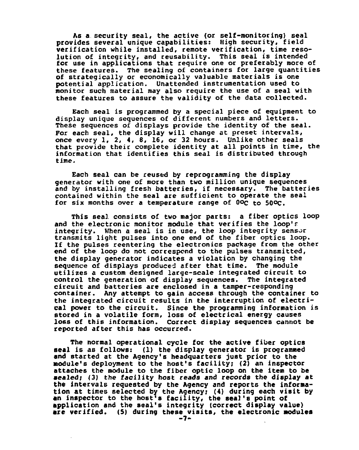**As a security seal, the active (or self-monitoring) seal provides several unique capabilities: High security, field verification while installed, remote verification, time resolution of integrity, and reusability. This seal is intended for use in applications that require one or preferably more of these features. The sealing of containers for large quantities of strategically or economically valuable materials is one potential application. Unattended instrumentation used to monitor such material may also require the use of a seal with these features to assure the validity of the data collected.** 

**Each seal is programmed by a special piece of equipment to display unique sequences of different numbers and letters. These sequences of displays provide the identity of the seal. For each seal, the display will change at preset intervals, once every 1, 2, 4, 8, 16, or 32 hours. Unlike other seals that provide their complete identity at all points in time, the information that identifies this seal is distributed through time.** 

**Each seal can be reused by reprogramming the display generator with one of more than two million unique sequences and by installing fresh batteries, if necessary. The batteries contained within the seal are sufficient to operate the seal for six months over a temperature range of Ooc to 50°C.** 

**This seal consists of two major parts: a fiber optics loop and the electronic monitor module that verifies the loop'r integrity. When a seal is in use, the loop integrity sensor transmits light pulses into one end of the fiber optics loop. If the pulses reentering the electronics package from the other end of the loop do not correspond to the pulses transmitted, the display generator indicates a violation by changing the sequence of displays produced after that time. The module utilizes a custom designed large-scale integrated circuit to control the generation of display sequences. The integrated circuit and batteries are enclosed in a tamper-responding container. Any attempt to gain access through the container to the integrated circuit results in the interruption of electrical power to the circuit. Since the programming information is stored in a volatile form, loss of electrical energy causes loss of this information. Correct display sequences cannot be reported after this has occurred.** 

**The normal operational cycle for the active fiber optics seal is as follows: (1) the display generator is programmed and started at the Agency's headquarters just prior to the module's deployment to the host's facility; (2) an inspector attaches the module to the fiber optic loop on the item to be •ealed; (3) the facility host reads and records the display at the intervals requested by the Agency and reports the information at times selected by the Agency; (4) during each visit by an inspector to the host's facility, the seal's point of application and the seal's integrity (correct display value) are verified.** (5) during these visits, the electronic modules  $-7$ -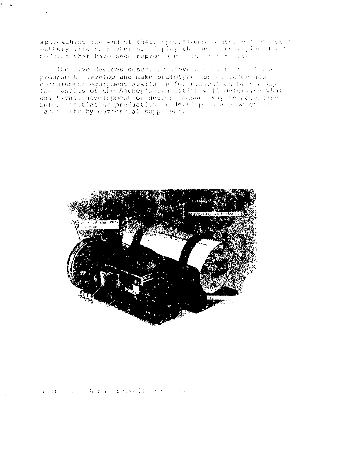approaching the end of their epolitically professional entire wort thittery life of posses of highey thought are replacing to the resisted that have been reproduce me its state and

The live devices descriter inner and that the Plaza. program t- Jevelop and make prototyne (urses concertable c intuitiment equipment available for connective by the host of I.A - esplis ot the Amenoy'. evenuation woll determin adultions, development of decign changes way to necessary. before institution production or  $\mathbb{I}$ 



全体体 人名英格兰人姓氏麦克勒的变体地名含义是古巴人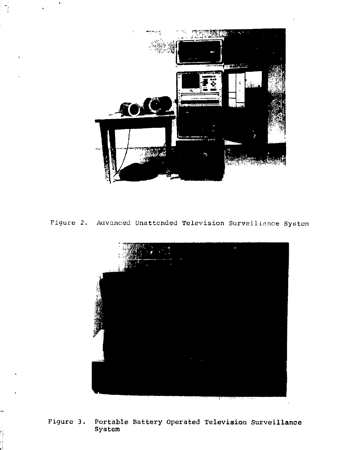

Figure 2. Advanced Unattended Television Surveillance System



**Figure 3. Portable Battery Operated Television Surveillance System**